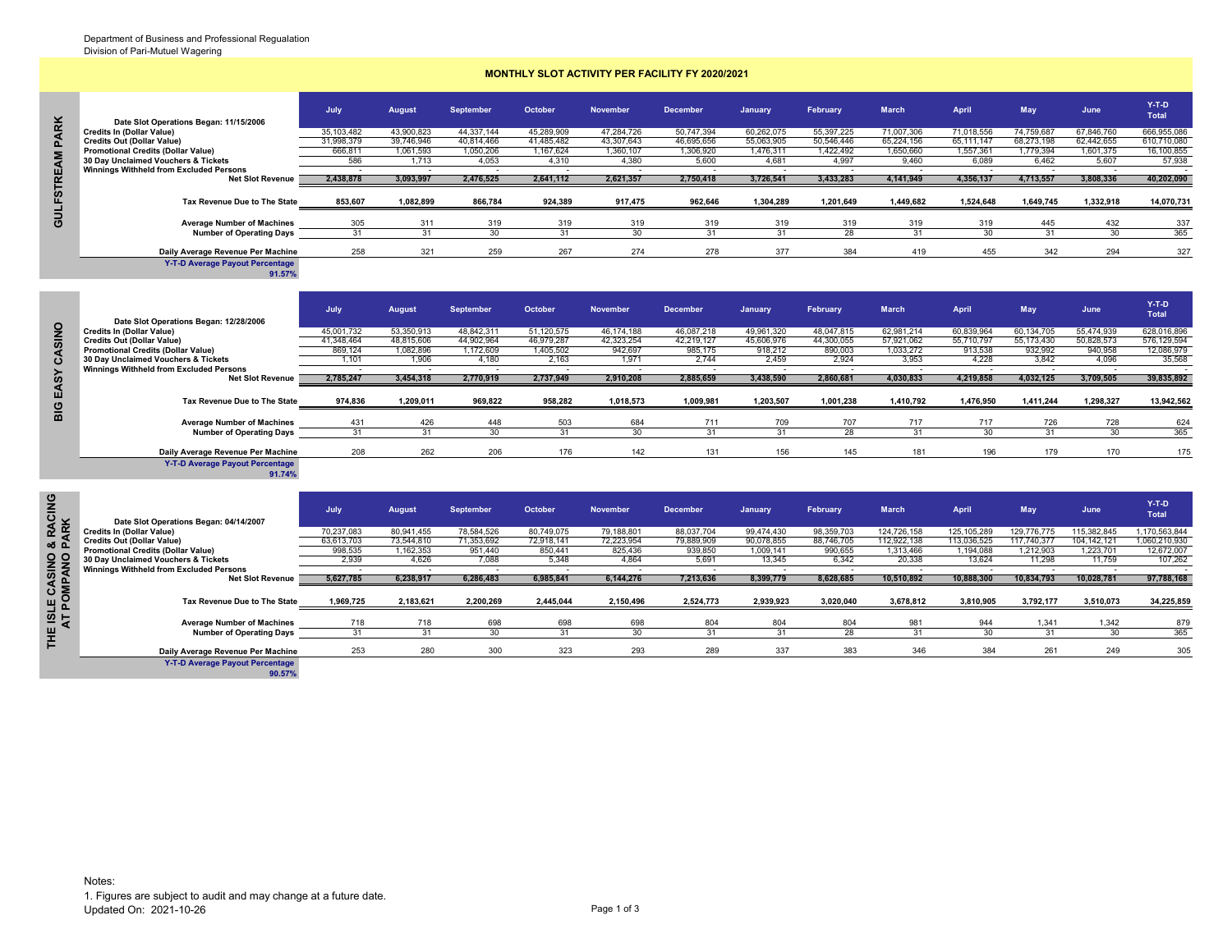## **MONTHLY SLOT ACTIVITY PER FACILITY FY 2020/2021**

|             |                                           | July       | <b>August</b> | <b>September</b> | October    | <b>November</b> | <b>December</b> | January    | February   | <b>March</b> | April      | <b>May</b> | June       | $Y-T-D$<br><b>Total</b> |
|-------------|-------------------------------------------|------------|---------------|------------------|------------|-----------------|-----------------|------------|------------|--------------|------------|------------|------------|-------------------------|
| ΚK          | Date Slot Operations Began: 11/15/2006    |            |               |                  |            |                 |                 |            |            |              |            |            |            |                         |
|             | <b>Credits In (Dollar Value)</b>          | 35,103,482 | 43,900,823    | 44,337,144       | 45,289,909 | 47,284,726      | 50,747,394      | 60,262,075 | 55,397,225 | 71,007,306   | 71,018,556 | 74.759.687 | 67,846,760 | 666,955,086             |
|             | <b>Credits Out (Dollar Value)</b>         | 31,998,379 | 39.746.946    | 40,814,466       | 41,485,482 | 43.307.643      | 46,695,656      | 55,063,905 | 50.546.446 | 65.224.156   | 65.111.147 | 68.273.198 | 62.442.655 | 610,710,080             |
|             | <b>Promotional Credits (Dollar Value)</b> | 666,811    | 1,061,593     | 1,050,206        | 1,167,624  | 1,360,107       | 1,306,920       | 1.476.311  | ,422,492   | 1,650,660    | 1,557,361  | 1,779,394  | 601,375    | 16,100,855              |
|             | 30 Day Unclaimed Vouchers & Tickets       | 586        | 1,713         | 4,053            | 4,310      | 4,380           | 5,600           | 4,681      | 4,997      | 9,460        | 6.089      | 6.462      | 5,607      | 57,938                  |
|             | Winnings Withheld from Excluded Persons   |            |               |                  |            |                 |                 |            |            |              |            |            |            |                         |
| 出           | <b>Net Slot Revenue</b>                   | 2,438,878  | 3,093,997     | 2,476,525        | 2,641,112  | 2,621,357       | 2,750,418       | 3,726,541  | 3,433,283  | 4,141,949    | 4,356,137  | 4,713,557  | 3,808,336  | 40,202,090              |
| <b>FSTI</b> | Tax Revenue Due to The State              | 853.607    | 1,082,899     | 866,784          | 924,389    | 917,475         | 962,646         | 1.304.289  | 1,201,649  | 1,449,682    | 1,524,648  | 1,649,745  | 1,332,918  | 14,070,731              |
| 5<br>O      | <b>Average Number of Machines</b>         | 305        | 311           | 319              | 319        | 319             | 319             | 319        | 319        | 319          | 319        | 445        | 432        | 337                     |
|             | <b>Number of Operating Days</b>           |            |               |                  |            |                 |                 |            | 28         |              |            | 31         | -30        | 365                     |
|             | Daily Average Revenue Per Machine         | 258        | 321           | 259              | 267        | 274             | 278             | 377        | 384        | 419          | 455        | 342        | 294        | 327                     |
|             | <b>M.T.D. Augustus Deveut Devenutors</b>  |            |               |                  |            |                 |                 |            |            |              |            |            |            |                         |

|                |                                                                            | July       | <b>August</b> | September  | October    | <b>November</b> | <b>December</b> | January    | February   | <b>March</b> | April      | <b>May</b> | June       | $Y-T-D$<br><b>Total</b> |
|----------------|----------------------------------------------------------------------------|------------|---------------|------------|------------|-----------------|-----------------|------------|------------|--------------|------------|------------|------------|-------------------------|
| $\overline{2}$ | Date Slot Operations Began: 12/28/2006<br><b>Credits In (Dollar Value)</b> | 45,001,732 | 53,350,913    | 48.842.311 | 51.120.575 | 46,174,188      | 46,087,218      | 49,961,320 | 48.047.815 | 62,981,214   | 60,839,964 | 60,134,705 | 55.474.939 | 628,016,896             |
|                | <b>Credits Out (Dollar Value)</b>                                          | 41.348.464 | 48.815.606    | 44.902.964 | 46.979.287 | 42.323.254      | 42.219.127      | 45.606.976 | 44.300.055 | 57.921.062   | 55.710.797 | 55.173.430 | 50.828.573 | 576.129.594             |
| <b>ASI</b>     | <b>Promotional Credits (Dollar Value)</b>                                  | 869.124    | 1.082.896     | 1.172.609  | 1.405.502  | 942.697         | 985.175         | 918.212    | 890.003    | 1.033.272    | 913.538    | 932.992    | 940.958    | 12,086,979              |
| ပ              | 30 Day Unclaimed Vouchers & Tickets                                        | 1.101      | 1,906         | 4.180      | 2,163      | 1,971           | 2.744           | 2.459      | 2,924      | 3,953        | 4.228      | 3,842      | 4,096      | 35,568                  |
|                | <b>Winnings Withheld from Excluded Persons</b>                             |            |               |            |            |                 |                 |            |            |              |            |            |            |                         |
|                | <b>Net Slot Revenue</b>                                                    | 2,785,247  | 3,454,318     | 2,770,919  | 2,737,949  | 2,910,208       | 2,885,659       | 3,438,590  | 2,860,681  | 4,030,833    | 4,219,858  | 4,032,125  | 3,709,505  | 39,835,892              |
| EASY<br>BIG    | Tax Revenue Due to The State                                               | 974,836    | 1,209,011     | 969,822    | 958.282    | 1,018,573       | 1,009,981       | 1,203,507  | 1,001,238  | 1,410,792    | 1,476,950  | 1,411,244  | 1,298,327  | 13,942,562              |
|                | <b>Average Number of Machines</b>                                          | 431        | 426           | 448        | 503        | 684             | 711             | 709        | 707        | 717          | 717        | 726        | 728        | 624                     |
|                | <b>Number of Operating Days</b>                                            |            |               |            |            | 30              | 31              |            | 28         |              | 30         |            | 30         | 365                     |
|                | Daily Average Revenue Per Machine                                          | 208        | 262           | 206        | 176        | 142             | 131             | 156        | 145        |              | 196        | 179        | 170        | 175                     |
|                | <b>Y-T-D Average Payout Percentage</b>                                     |            |               |            |            |                 |                 |            |            |              |            |            |            |                         |

 $\overline{\mathbf{S}}$ 

|                                      | Date Slot Operations Began: 11/15/2006                                      |                          |                          |                          |                          |                          |                          |                          |                          |                          |                          |                          |                          | Total                      |
|--------------------------------------|-----------------------------------------------------------------------------|--------------------------|--------------------------|--------------------------|--------------------------|--------------------------|--------------------------|--------------------------|--------------------------|--------------------------|--------------------------|--------------------------|--------------------------|----------------------------|
|                                      | <b>Credits In (Dollar Value)</b>                                            | 35,103,482               | 43,900,823               | 44,337,144               | 45,289,909               | 47,284,726               | 50,747,394               | 60,262,075               | 55,397,225               | 71,007,306               | 71,018,556               | 74,759,687               | 67,846,760               | 666,955,086                |
|                                      | <b>Credits Out (Dollar Value)</b>                                           | 31,998,379               | 39,746,946               | 40,814,466               | 41,485,482               | 43,307,643               | 46,695,656               | 55,063,905               | 50,546,446               | 65,224,156               | 65,111,147               | 68,273,198               | 62,442,655               | 610,710,080                |
|                                      | <b>Promotional Credits (Dollar Value)</b>                                   | 666,811                  | 1,061,593                | 1,050,206                | 1,167,624                | 1,360,107                | 1,306,920                | 1,476,311                | 1,422,492                | 1,650,660                | 1,557,361                | 1,779,394                | 1,601,375                | 16,100,855                 |
|                                      | 30 Day Unclaimed Vouchers & Tickets                                         | 586                      | 1,713                    | 4,053                    | 4,310                    | 4,380                    | 5,600                    | 4,681                    | 4,997                    | 9,460                    | 6,089                    | 6,462                    | 5,607                    | 57,938                     |
|                                      | <b>Winnings Withheld from Excluded Persons</b>                              | $\sim$                   | $\overline{\phantom{a}}$ | $\sim$                   | $\overline{\phantom{a}}$ | $\overline{\phantom{a}}$ | $\sim$                   | $\overline{\phantom{a}}$ | $\sim$                   | $\sim$                   | $\overline{\phantom{a}}$ | $\sim$                   | $\sim$                   | $\sim$                     |
|                                      | <b>Net Slot Revenue</b>                                                     | 2,438,878                | 3,093,997                | 2,476,525                | 2,641,112                | 2,621,357                | 2,750,418                | 3,726,541                | 3,433,283                | 4,141,949                | 4,356,137                | 4,713,557                | 3,808,336                | 40,202,090                 |
| <b>GULFSTREAM PARK</b>               | Tax Revenue Due to The State                                                | 853,607                  | 1.082.899                | 866,784                  | 924,389                  | 917,475                  | 962.646                  | 1,304,289                | 1,201,649                | 1,449,682                | 1,524,648                | 1,649,745                | 1,332,918                | 14,070,731                 |
|                                      |                                                                             | 305                      | 311                      | 319                      | 319                      | 319                      |                          | 319                      | 319                      | 319                      | 319                      | 445                      | 432                      | 337                        |
|                                      | <b>Average Number of Machines</b><br><b>Number of Operating Days</b>        | 31                       | 31                       | 30                       | 31                       | 30                       | 319<br>31                | 31                       | 28                       | 31                       | 30                       | 31                       | 30                       | 365                        |
|                                      |                                                                             |                          |                          |                          |                          |                          |                          |                          |                          |                          |                          |                          |                          |                            |
|                                      | Daily Average Revenue Per Machine                                           | 258                      | 321                      | 259                      | 267                      | 274                      | 278                      | 377                      | 384                      | 419                      | 455                      | 342                      | 294                      | 327                        |
|                                      | <b>Y-T-D Average Payout Percentage</b><br>91.57%                            |                          |                          |                          |                          |                          |                          |                          |                          |                          |                          |                          |                          |                            |
|                                      |                                                                             |                          |                          |                          |                          |                          |                          |                          |                          |                          |                          |                          |                          | Y-T-D                      |
|                                      |                                                                             | July                     | August                   | <b>September</b>         | <b>October</b>           | <b>November</b>          | <b>December</b>          | <b>January</b>           | February                 | <b>March</b>             | April                    | <b>May</b>               | June                     | Total                      |
|                                      | Date Slot Operations Began: 12/28/2006                                      |                          |                          |                          |                          |                          |                          |                          |                          |                          |                          |                          |                          |                            |
|                                      | <b>Credits In (Dollar Value)</b><br><b>Credits Out (Dollar Value)</b>       | 45,001,732<br>41.348.464 | 53.350.913<br>48.815.606 | 48,842,311<br>44.902.964 | 51.120.575<br>46.979.287 | 46.174.188<br>42.323.254 | 46,087,218<br>42.219.127 | 49,961,320<br>45.606.976 | 48.047.815<br>44.300.055 | 62,981,214<br>57.921.062 | 60.839.964<br>55.710.797 | 60.134.705<br>55.173.430 | 55.474.939<br>50.828.573 | 628,016,896<br>576.129.594 |
|                                      | <b>Promotional Credits (Dollar Value)</b>                                   | 869,124                  | 1,082,896                | 1,172,609                | 1,405,502                | 942,697                  | 985,175                  | 918,212                  | 890,003                  | 1,033,272                | 913,538                  | 932,992                  | 940,958                  | 12,086,979                 |
| CASINO                               | 30 Day Unclaimed Vouchers & Tickets                                         | 1,101                    | 1,906                    | 4,180                    | 2,163                    | 1,971                    | 2,744                    | 2,459                    | 2,924                    | 3,953                    | 4,228                    | 3,842                    | 4,096                    | 35,568                     |
|                                      | <b>Winnings Withheld from Excluded Persons</b>                              | $\sim$                   |                          | $\sim$                   |                          |                          | $\overline{\phantom{a}}$ | $\overline{\phantom{a}}$ | $\overline{\phantom{a}}$ | $\overline{\phantom{a}}$ |                          | $\overline{\phantom{a}}$ | $\sim$                   |                            |
|                                      | <b>Net Slot Revenue</b>                                                     | 2,785,247                | 3,454,318                | 2,770,919                | 2,737,949                | 2,910,208                | 2.885.659                | 3,438,590                | 2,860,681                | 4,030,833                | 4,219,858                | 4,032,125                | 3,709,505                | 39,835,892                 |
|                                      |                                                                             |                          |                          |                          |                          |                          |                          |                          |                          |                          |                          |                          |                          |                            |
|                                      |                                                                             |                          |                          |                          |                          |                          |                          |                          |                          |                          |                          |                          |                          | 13,942,562                 |
|                                      | Tax Revenue Due to The State                                                | 974,836                  | 1,209,011                | 969,822                  | 958,282                  | 1,018,573                | 1,009,981                | 1,203,507                | 1,001,238                | 1,410,792                | 1,476,950                | 1,411,244                | 1,298,327                |                            |
| BIG EASY                             |                                                                             |                          |                          |                          |                          |                          |                          |                          |                          |                          |                          |                          |                          |                            |
|                                      | <b>Average Number of Machines</b><br><b>Number of Operating Days</b>        | 431<br>31                | 426<br>31                | 448<br>30                | 503<br>31                | 684<br>30                | 711<br>31                | 709<br>31                | 707<br>28                | 717<br>31                | 717<br>30                | 726<br>31                | 728<br>30                | 624<br>365                 |
|                                      |                                                                             |                          |                          |                          |                          |                          |                          |                          |                          |                          |                          |                          |                          |                            |
|                                      | Daily Average Revenue Per Machine                                           | 208                      | 262                      | 206                      | 176                      | 142                      | 131                      | 156                      | 145                      | 181                      | 196                      | 179                      | 170                      | 175                        |
|                                      | <b>Y-T-D Average Payout Percentage</b><br>91.74%                            |                          |                          |                          |                          |                          |                          |                          |                          |                          |                          |                          |                          |                            |
|                                      |                                                                             |                          |                          |                          |                          |                          |                          |                          |                          |                          |                          |                          |                          |                            |
| ©<br>SIO                             |                                                                             | July                     | <b>August</b>            | <b>September</b>         | October                  | <b>November</b>          | <b>December</b>          | January                  | February                 | March                    | April                    | <b>May</b>               | June                     | Y-T-D<br>Total             |
|                                      | Date Slot Operations Began: 04/14/2007<br><b>Credits In (Dollar Value)</b>  | 70,237,083               | 80,941,455               | 78,584,526               | 80,749,075               | 79,188,801               | 88,037,704               | 99,474,430               | 98,359,703               | 124,726,158              | 125, 105, 289            | 129,776,775              | 115,382,845              | 1,170,563,844              |
| <b>ARK</b>                           | <b>Credits Out (Dollar Value)</b>                                           | 63,613,703               | 73,544,810               | 71,353,692               | 72,918,141               | 72,223,954               | 79,889,909               | 90,078,855               | 88,746,705               | 112,922,138              | 113,036,525              | 117,740,377              | 104,142,121              | 1,060,210,930              |
| ∞ உ                                  | <b>Promotional Credits (Dollar Value)</b>                                   | 998,535                  | 1,162,353                | 951,440                  | 850,441                  | 825,436                  | 939,850                  | 1,009,141                | 990,655                  | 1,313,466                | 1,194,088                | 1,212,903                | 1,223,701                | 12,672,007                 |
|                                      | 30 Day Unclaimed Vouchers & Tickets                                         | 2.939                    | 4.626                    | 7.088                    | 5,348                    | 4.864                    | 5.691                    | 13,345                   | 6.342                    | 20,338                   | 13.624                   | 11.298                   | 11.759                   | 107,262                    |
|                                      | <b>Winnings Withheld from Excluded Persons</b>                              |                          |                          |                          |                          |                          |                          |                          |                          |                          |                          |                          |                          |                            |
|                                      | <b>Net Slot Revenue</b>                                                     | 5,627,785                | 6,238,917                | 6,286,483                | 6,985,841                | 6,144,276                | 7,213,636                | 8,399,779                | 8,628,685                | 10,510,892               | 10,888,300               | 10,834,793               | 10,028,781               | 97,788,168                 |
| $\circ$ $\circ$                      | Tax Revenue Due to The State                                                | 1,969,725                | 2,183,621                | 2,200,269                | 2,445,044                | 2,150,496                | 2,524,773                | 2,939,923                | 3,020,040                | 3,678,812                | 3,810,905                | 3,792,177                | 3,510,073                | 34,225,859                 |
|                                      |                                                                             |                          |                          |                          |                          |                          |                          |                          |                          |                          | 944                      |                          |                          | 879                        |
| <b>POMPANO</b><br>POMPANO<br>4<br>ဖာ | <b>Average Number of Machines</b><br><b>Number of Operating Days</b>        | 718<br>31                | 718<br>31                | 698<br>30 <sup>2</sup>   | 698<br>31                | 698<br>30                | 804<br>31                | 804<br>31                | 804<br>28                | 981<br>31                | 30                       | 1,341<br>31              | 1,342<br>30              | 365                        |
| I                                    |                                                                             |                          |                          |                          |                          |                          |                          |                          |                          |                          |                          |                          |                          |                            |
|                                      | Daily Average Revenue Per Machine<br><b>Y-T-D Average Payout Percentage</b> | 253                      | 280                      | 300                      | 323                      | 293                      | 289                      | 337                      | 383                      | 346                      | 384                      | 261                      | 249                      | 305                        |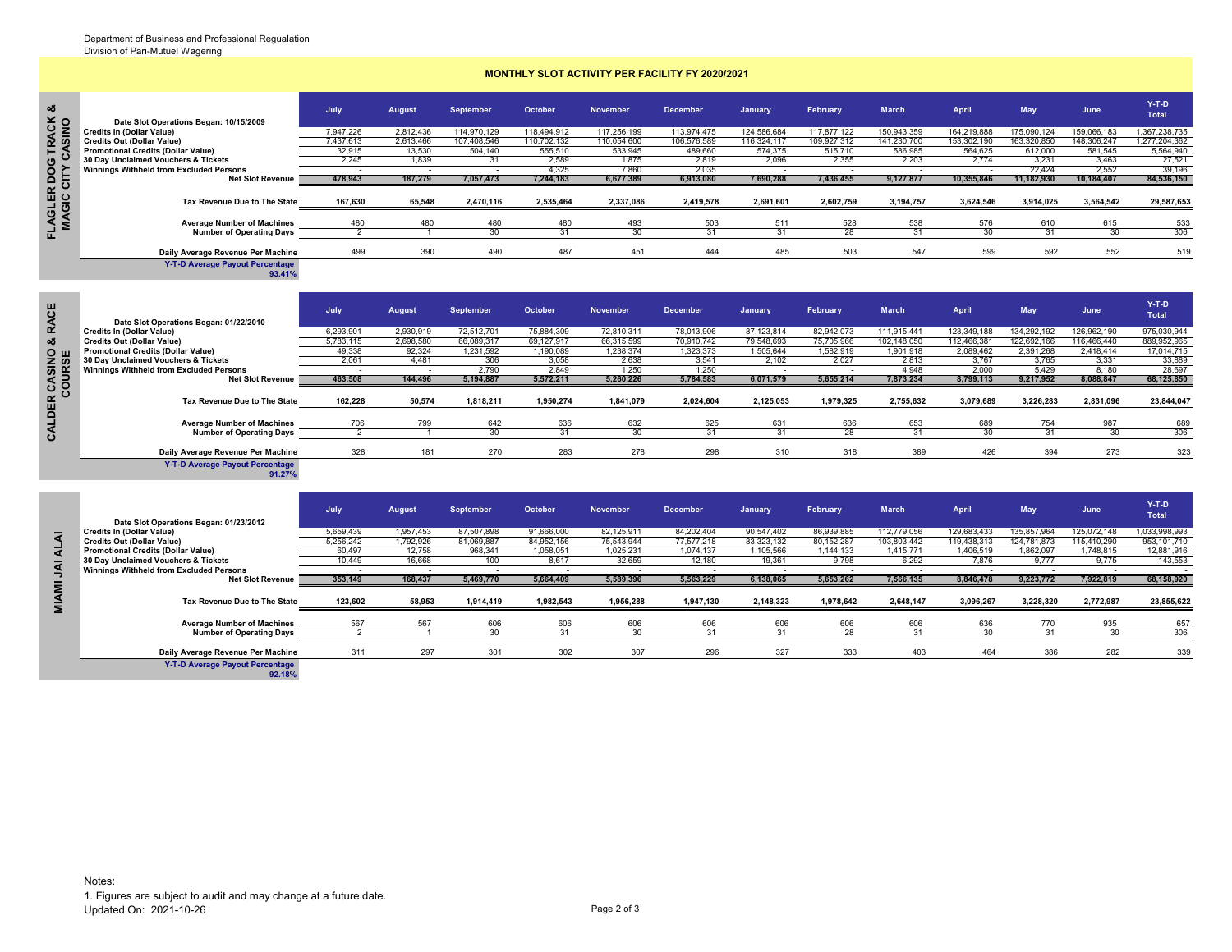nacio

 $\sum_{i=1}^{n}$  $\mathbf{f}$  $\overline{a}$ -ī

## **MONTHLY SLOT ACTIVITY PER FACILITY FY 2020/2021**

|         |                                           | July      | <b>August</b> | September   | October     | <b>November</b> | <b>December</b> | <b>January</b> | February    | <b>March</b> | April       | <b>May</b>  | June        | $Y-T-D$<br>Total |
|---------|-------------------------------------------|-----------|---------------|-------------|-------------|-----------------|-----------------|----------------|-------------|--------------|-------------|-------------|-------------|------------------|
| $\circ$ | Date Slot Operations Began: 10/15/2009    |           |               |             |             |                 |                 |                |             |              |             |             |             |                  |
|         | <b>Credits In (Dollar Value)</b>          | 7,947,226 | 2,812,436     | 114,970,129 | 118,494,912 | 117,256,199     | 113,974,475     | 124,586,684    | 117,877,122 | 150,943,359  | 164,219,888 | 175,090,124 | 159,066,183 | 1,367,238,735    |
|         | <b>Credits Out (Dollar Value)</b>         | 7,437,613 | 2,613,466     | 107,408,546 | 110,702,132 | 110,054,600     | 106,576,589     | 116,324,117    | 109,927,312 | 141,230,700  | 153,302,190 | 163,320,850 | 148,306,247 | 1,277,204,362    |
|         | <b>Promotional Credits (Dollar Value)</b> | 32,915    | 13,530        | 504,140     | 555,510     | 533,945         | 489,660         | 574,375        | 515,710     | 586,985      | 564,625     | 612,000     | 581,545     | 5,564,940        |
|         | 30 Day Unclaimed Vouchers & Tickets       | 2.245     | 1.839         |             | 2.589       | 1.875           | 2.819           | 2,096          | 2.355       | 2.203        | 2.774       | 3.231       | 3.463       | 27,521           |
|         | Winnings Withheld from Excluded Persons   |           |               |             | 4.325       | 7.860           | 2.035           |                |             |              |             | 22.424      | 2.552       | 39,196           |
|         | <b>Net Slot Revenue</b>                   | 478,943   | 187,279       | 7,057,473   | 7,244,183   | 6,677,389       | 6,913,080       | 7,690,288      | 7,436,455   | 9,127,877    | 10,355,846  | 11,182,930  | 10,184,407  | 84,536,150       |
|         | Tax Revenue Due to The State              | 167,630   | 65,548        | 2,470,116   | 2,535,464   | 2,337,086       | 2,419,578       | 2,691,601      | 2,602,759   | 3,194,757    | 3,624,546   | 3,914,025   | 3,564,542   | 29,587,653       |
| তু      | <b>Average Number of Machines</b>         | 480       | 480           | 480         | 480         | 493             | 503             | 511            | 528         | 538          | 576         | 610         | 615         | 533              |
|         | <b>Number of Operating Days</b>           |           |               |             | 31          | 30              | 31              |                | 28          | 31           | 30          | 31          | 30          | 306              |
|         | Daily Average Revenue Per Machine         | 499       | 390           | 490         | 487         | 451             | 444             | 485            | 503         | 547          | 599         | 592         | 552         | 519              |
|         | <b>Y-T-D Average Payout Percentage</b>    |           |               |             |             |                 |                 |                |             |              |             |             |             |                  |

**Y-T-D Average Payout Percentage 93.41%**

|                  | Date Slot Operations Began: 01/22/2010           | July      | August        | <b>September</b> | October    | <b>November</b> | <b>December</b> | <b>January</b>           | February   | <b>March</b> | April       | May         | June        | $Y-T-D$<br><b>Total</b> |
|------------------|--------------------------------------------------|-----------|---------------|------------------|------------|-----------------|-----------------|--------------------------|------------|--------------|-------------|-------------|-------------|-------------------------|
|                  | <b>Credits In (Dollar Value)</b>                 | 6.293.901 | 2.930.919     | 72.512.701       | 75.884.309 | 72.810.311      | 78.013.906      | 87.123.814               | 82.942.073 | 111.915.441  | 123.349.188 | 134.292.192 | 126.962.190 | 975,030,944             |
|                  | <b>Credits Out (Dollar Value)</b>                | 5,783,115 | 2,698,580     | 66,089,317       | 69,127,917 | 66,315,599      | 70.910.742      | 79,548,693               | 75,705,966 | 102,148,050  | 112,466,381 | 122,692,166 | 116,466,440 | 889,952,965             |
|                  | <b>Promotional Credits (Dollar Value)</b>        | 49,338    | 92,324        | 1,231,592        | 1,190,089  | 1,238,374       | 1,323,373       | 1,505,644                | 1,582,919  | 1,901,918    | 2,089,462   | 2,391,268   | 2.418.414   | 17,014,715              |
| z ທ              | 30 Day Unclaimed Vouchers & Tickets              | 2,061     | 4,481         | 306              | 3,058      | 2,638           | 3,541           | 2,102                    | 2,027      | 2,813        | 3,767       | 3.765       | 3,331       | 33,889                  |
|                  | <b>Winnings Withheld from Excluded Persons</b>   |           |               | 2.790            | 2,849      | 1.250           | 1.250           |                          |            | 4,948        | 2.000       | 5.429       | 8.180       | 28,697                  |
| OUR <sub>3</sub> | <b>Net Slot Revenue</b>                          | 463,508   | 144,496       | 5,194,887        | 5.572.211  | 5,260,226       | 5,784,583       | 6.071.579                | 5.655.214  | 7,873,234    | 8,799,113   | 9.217.952   | 8.088.847   | 68,125,850              |
| $\circ$          |                                                  |           |               |                  |            |                 |                 |                          |            |              |             |             |             |                         |
|                  | Tax Revenue Due to The State                     | 162,228   | 50,574        | 1,818,211        | 1,950,274  | 1,841,079       | 2,024,604       | 2,125,053                | 1,979,325  | 2,755,632    | 3,079,689   | 3,226,283   | 2,831,096   | 23,844,047              |
|                  | <b>Average Number of Machines</b>                | 706       | 799           | 642              | 636        | 632             | 625             | 631                      | 636        | 653          | 689         | 754         | 987         | 689                     |
|                  | <b>Number of Operating Days</b>                  | っ         |               | 30               | 31         | 30              | 31              | 31                       | 28         | 31           | 30          | 31          | 30          | 306                     |
|                  | Daily Average Revenue Per Machine                | 328       | 181           | 270              | 283        | 278             | 298             | 310                      | 318        | 389          | 426         | 394         | 273         | 323                     |
|                  |                                                  |           |               |                  |            |                 |                 |                          |            |              |             |             |             |                         |
|                  | <b>Y-T-D Average Payout Percentage</b><br>91.27% |           |               |                  |            |                 |                 |                          |            |              |             |             |             |                         |
|                  |                                                  | July      | <b>August</b> | <b>September</b> | October    | <b>November</b> | <b>December</b> | January                  | February   | <b>March</b> | April       | May         | June        | $Y-T-D$<br>Total        |
|                  | Date Slot Operations Began: 01/23/2012           |           |               |                  |            |                 |                 |                          |            |              |             |             |             |                         |
|                  | <b>Credits In (Dollar Value)</b>                 | 5,659,439 | 1,957,453     | 87,507,898       | 91,666,000 | 82,125,911      | 84,202,404      | 90,547,402               | 86,939,885 | 112,779,056  | 129,683,433 | 135,857,964 | 125,072,148 | 1,033,998,993           |
| <b>ALAI</b>      | <b>Credits Out (Dollar Value)</b>                | 5,256,242 | 1.792.926     | 81.069.887       | 84.952.156 | 75,543,944      | 77.577.218      | 83.323.132               | 80.152.287 | 103.803.442  | 119.438.313 | 124.781.873 | 115.410.290 | 953,101,710             |
|                  | <b>Promotional Credits (Dollar Value)</b>        | 60,497    | 12,758        | 968,341          | 1,058,051  | 1,025,231       | 1.074.137       | 1,105,566                | 1,144,133  | 1,415,771    | 1,406,519   | 1,862,097   | 1.748.815   | 12,881,916              |
|                  | 30 Day Unclaimed Vouchers & Tickets              | 10.449    | 16,668        | 100              | 8,617      | 32,659          | 12.180          | 19,361                   | 9,798      | 6,292        | 7.876       | 9.777       | 9.775       | 143,553                 |
| ξ                | Winnings Withheld from Excluded Persons          |           |               |                  |            |                 |                 | $\overline{\phantom{a}}$ |            |              |             |             |             |                         |
|                  | <b>Net Slot Revenue</b>                          | 353,149   | 168,437       | 5,469,770        | 5,664,409  | 5,589,396       | 5,563,229       | 6,138,065                | 5,653,262  | 7,566,135    | 8,846,478   | 9,223,772   | 7,922,819   | 68,158,920              |
| MIAMI            | Tax Revenue Due to The State                     | 123,602   | 58,953        | 1,914,419        | 1,982,543  | 1,956,288       | 1,947,130       | 2,148,323                | 1,978,642  | 2,648,147    | 3,096,267   | 3,228,320   | 2,772,987   | 23,855,622              |

| Date Slot Operations Began: 01/23/2012         | July      | <b>August</b> | <b>September</b> | October    | <b>November</b> | <b>December</b> | <b>January</b> | February   | <b>March</b> | April       | <b>May</b>  | June        | $Y-T-D$<br><b>Total</b> |
|------------------------------------------------|-----------|---------------|------------------|------------|-----------------|-----------------|----------------|------------|--------------|-------------|-------------|-------------|-------------------------|
| <b>Credits In (Dollar Value)</b>               | 5,659,439 | 1.957.453     | 87.507.898       | 91.666.000 | 82.125.911      | 84.202.404      | 90.547.402     | 86.939.885 | 112,779,056  | 129,683,433 | 135,857,964 | 125.072.148 | 1,033,998,993           |
| <b>Credits Out (Dollar Value)</b>              | 5.256.242 | 1.792.926     | 81.069.887       | 84.952.156 | 75.543.944      | 77.577.218      | 83.323.132     | 80.152.287 | 103.803.442  | 119.438.313 | 124.781.873 | 115.410.290 | 953,101,710             |
| <b>Promotional Credits (Dollar Value)</b>      | 60,497    | 12,758        | 968,341          | 1,058,051  | 1,025,231       | 1,074,137       | 1,105,566      | 1,144,133  | 1,415,771    | 1,406,519   | 862,097     | ,748,815    | 12,881,916              |
| 30 Day Unclaimed Vouchers & Tickets            | 10.449    | 16,668        | 100              | 8.617      | 32,659          | 12,180          | 19.361         | 9,798      | 6,292        | 7.876       | 9.777       | 9.775       | 143,553                 |
| <b>Winnings Withheld from Excluded Persons</b> |           |               |                  |            |                 |                 |                |            |              |             |             |             |                         |
| <b>Net Slot Revenue</b>                        | 353,149   | 168,437       | 5,469,770        | 5,664,409  | 5,589,396       | 5,563,229       | 6,138,065      | 5,653,262  | 7,566,135    | 8,846,478   | 9,223,772   | 7,922,819   | 68,158,920              |
|                                                |           |               |                  |            |                 |                 |                |            |              |             |             |             |                         |
| Tax Revenue Due to The State                   | 123,602   | 58,953        | 1,914,419        | 1,982,543  | 1,956,288       | 1,947,130       | 2,148,323      | 1,978,642  | 2,648,147    | 3.096.267   | 3,228,320   | 2,772,987   | 23,855,622              |
| <b>Average Number of Machines</b>              | 567       | 567           | 606              | 606        | 606             | 606             | 606            | 606        | 606          | 636         | 770         | 935         | 657                     |
| <b>Number of Operating Days</b>                |           |               | $\alpha$         | 31         | 30              |                 |                | 28         |              | 30          | 31          | 30          | 306                     |
| Daily Average Revenue Per Machine              | 311       | 297           | 301              | 302        | 307             | 296             | 327            | 333        | 403          | 464         | 386         | 282         | 339                     |